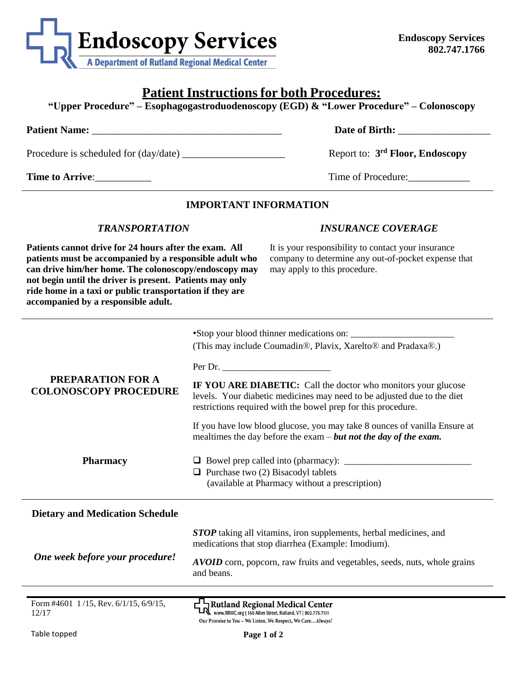

# **Patient Instructions for both Procedures:**

**"Upper Procedure" – Esophagogastroduodenoscopy (EGD) & "Lower Procedure" – Colonoscopy**

| <b>Patient Name:</b>                  | Date of Birth:                              |
|---------------------------------------|---------------------------------------------|
| Procedure is scheduled for (day/date) | Report to: 3 <sup>rd</sup> Floor, Endoscopy |

**Time to Arrive:** Time of Procedure:

### **IMPORTANT INFORMATION**

#### *TRANSPORTATION*

**Patients cannot drive for 24 hours after the exam. All patients must be accompanied by a responsible adult who can drive him/her home. The colonoscopy/endoscopy may not begin until the driver is present. Patients may only ride home in a taxi or public transportation if they are accompanied by a responsible adult.**

#### *INSURANCE COVERAGE*

It is your responsibility to contact your insurance company to determine any out-of-pocket expense that may apply to this procedure.

|                                                          | •Stop your blood thinner medications on:<br>(This may include Coumadin®, Plavix, Xarelto® and Pradaxa®.)                                                                                                   |
|----------------------------------------------------------|------------------------------------------------------------------------------------------------------------------------------------------------------------------------------------------------------------|
| <b>PREPARATION FOR A</b><br><b>COLONOSCOPY PROCEDURE</b> | Per Dr.                                                                                                                                                                                                    |
|                                                          | IF YOU ARE DIABETIC: Call the doctor who monitors your glucose<br>levels. Your diabetic medicines may need to be adjusted due to the diet<br>restrictions required with the bowel prep for this procedure. |
|                                                          | If you have low blood glucose, you may take 8 ounces of vanilla Ensure at<br>mealtimes the day before the exam $-$ but not the day of the exam.                                                            |
| <b>Pharmacy</b>                                          | $\Box$ Purchase two (2) Bisacodyl tablets<br>(available at Pharmacy without a prescription)                                                                                                                |
| <b>Dietary and Medication Schedule</b>                   |                                                                                                                                                                                                            |
| One week before your procedure!                          | <b>STOP</b> taking all vitamins, iron supplements, herbal medicines, and<br>medications that stop diarrhea (Example: Imodium).                                                                             |
|                                                          | AVOID corn, popcorn, raw fruits and vegetables, seeds, nuts, whole grains<br>and beans.                                                                                                                    |
| Form #4601 1/15, Rev. 6/1/15, 6/9/15,                    | Rutland Regional Medical Center<br>TR www.RRMC.org   160 Allen Street, Rutland, VT   802.775.7111                                                                                                          |
| 12/17                                                    | Our Promise to You - We Listen, We Respect, We CareAlways!                                                                                                                                                 |